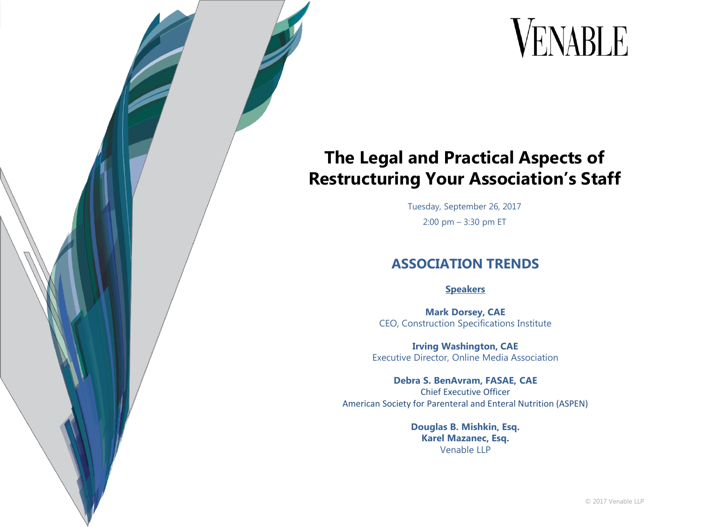## VENABLE

#### **The Legal and Practical Aspects of Restructuring Your Association's Staff**

Tuesday, September 26, 2017 2:00 pm – 3:30 pm ET

#### **ASSOCIATION TRENDS**

#### **Speakers**

**Mark Dorsey, CAE** CEO, Construction Specifications Institute

**Irving Washington, CAE** Executive Director, Online Media Association

**Debra S. BenAvram, FASAE, CAE** Chief Executive Officer American Society for Parenteral and Enteral Nutrition (ASPEN)

> **Douglas B. Mishkin, Esq. Karel Mazanec, Esq.** Venable LLP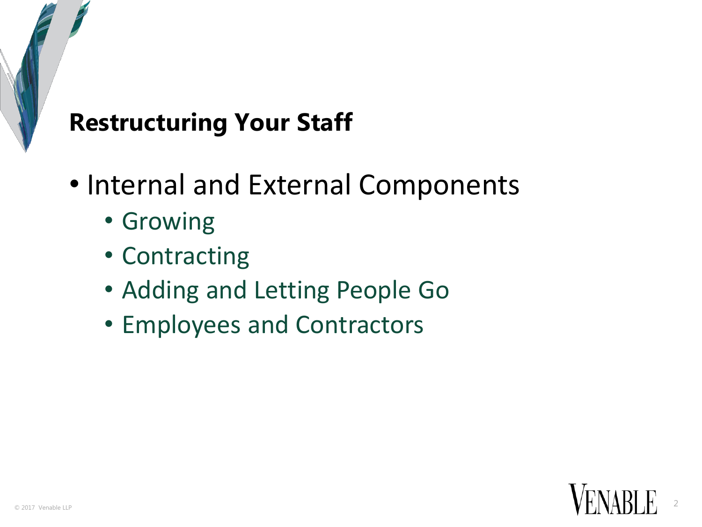## **Restructuring Your Staff**

- Internal and External Components
	- Growing
	- Contracting
	- Adding and Letting People Go
	- Employees and Contractors

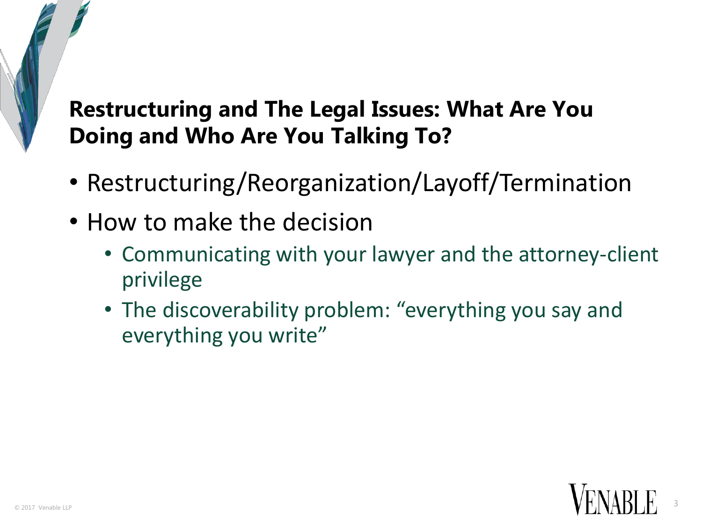## **Restructuring and The Legal Issues: What Are You Doing and Who Are You Talking To?**

- Restructuring/Reorganization/Layoff/Termination
- How to make the decision
	- Communicating with your lawyer and the attorney-client privilege
	- The discoverability problem: "everything you say and everything you write"

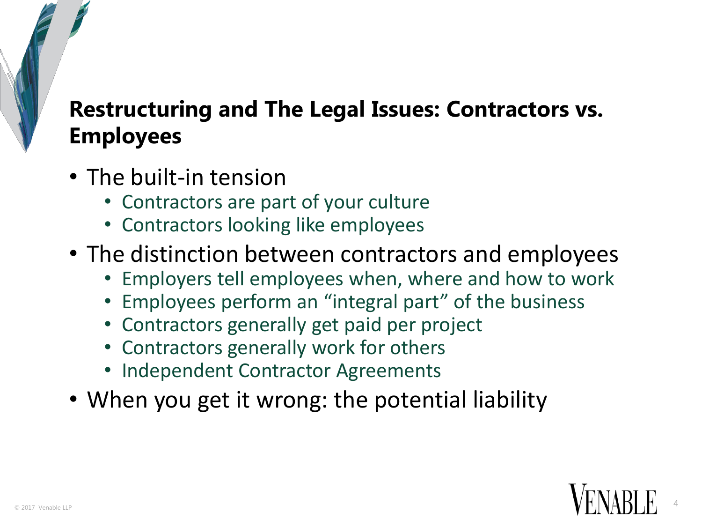## **Restructuring and The Legal Issues: Contractors vs. Employees**

- The built-in tension
	- Contractors are part of your culture
	- Contractors looking like employees
- The distinction between contractors and employees
	- Employers tell employees when, where and how to work
	- Employees perform an "integral part" of the business
	- Contractors generally get paid per project
	- Contractors generally work for others
	- Independent Contractor Agreements
- When you get it wrong: the potential liability

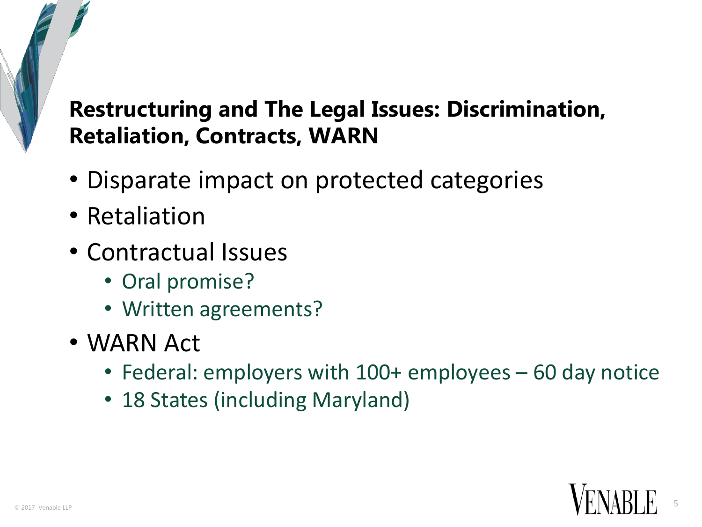## **Restructuring and The Legal Issues: Discrimination, Retaliation, Contracts, WARN**

- Disparate impact on protected categories
- Retaliation
- Contractual Issues
	- Oral promise?
	- Written agreements?
- WARN Act
	- Federal: employers with 100+ employees 60 day notice
	- 18 States (including Maryland)

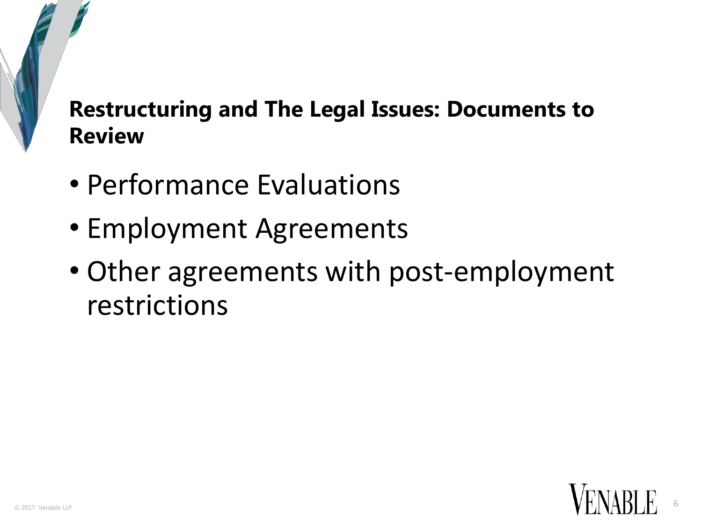#### **Restructuring and The Legal Issues: Documents to Review**

- Performance Evaluations
- Employment Agreements
- Other agreements with post-employment restrictions

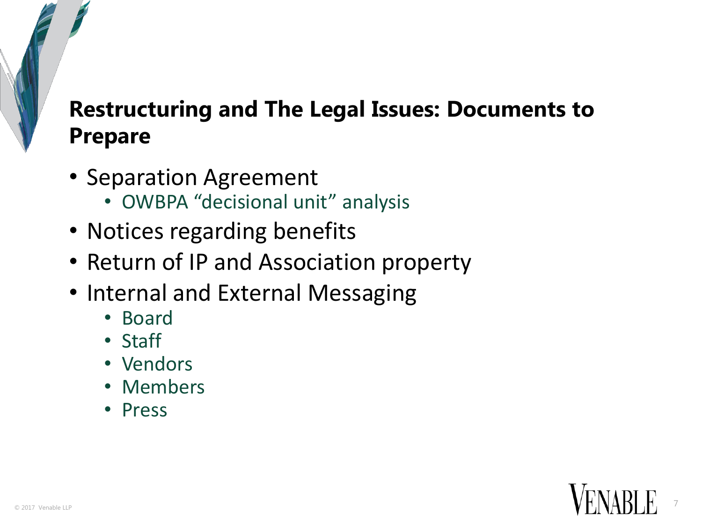## **Restructuring and The Legal Issues: Documents to Prepare**

- Separation Agreement
	- OWBPA "decisional unit" analysis
- Notices regarding benefits
- Return of IP and Association property
- Internal and External Messaging
	- Board
	- Staff
	- Vendors
	- Members
	- Press